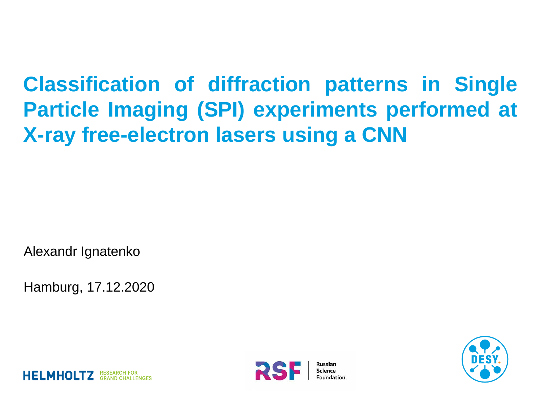#### **Classification of diffraction patterns in Single Particle Imaging (SPI) experiments performed at X-ray free-electron lasers using a CNN**

Alexandr Ignatenko

Hamburg, 17.12.2020





**HELMHOLTZ** RESEARCH FOR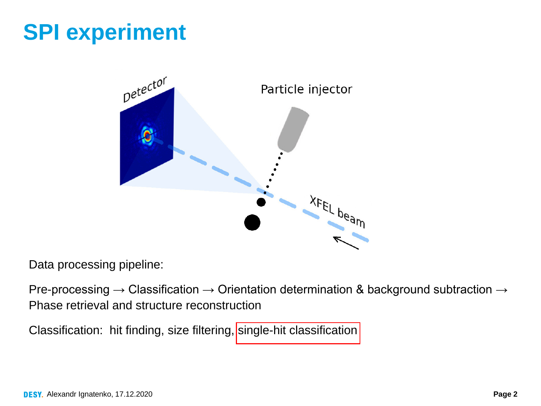## **SPI experiment**



Data processing pipeline:

Pre-processing  $\rightarrow$  Classification  $\rightarrow$  Orientation determination & background subtraction  $\rightarrow$ Phase retrieval and structure reconstruction

Classification: hit finding, size filtering, single-hit classification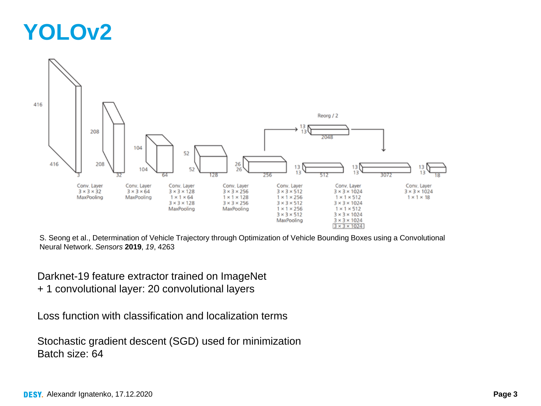#### **YOLOv2**



S. Seong et al., Determination of Vehicle Trajectory through Optimization of Vehicle Bounding Boxes using a Convolutional Neural Network. *Sensors* **2019**, *19*, 4263

Darknet-19 feature extractor trained on ImageNet

+ 1 convolutional layer: 20 convolutional layers

Loss function with classification and localization terms

Stochastic gradient descent (SGD) used for minimization Batch size: 64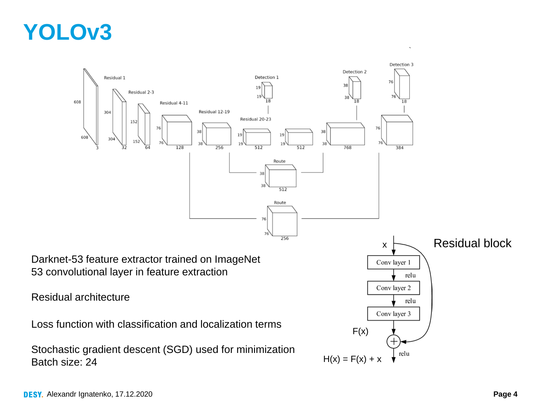#### **YOLOv3**

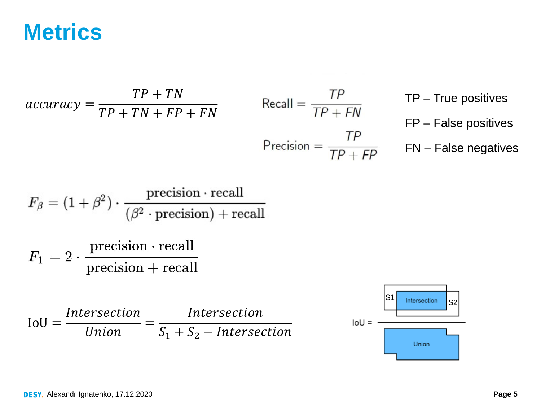#### **Metrics**

$$
accuracy = \frac{TP + TN}{TP + TN + FP + FN}
$$
  
Recall =  $\frac{TP}{TP + FN}$   
Precision =  $\frac{TP}{TP + FP}$   
FN - False negatives  
FN - False negatives

$$
F_{\beta} = (1 + \beta^2) \cdot \frac{\text{precision} \cdot \text{recall}}{(\beta^2 \cdot \text{precision}) + \text{recall}}
$$

$$
F_1 = 2 \cdot \frac{\text{precision} \cdot \text{recall}}{\text{precision} + \text{recall}}
$$

$$
IoU = \frac{Intersection}{Union} = \frac{Intersection}{S_1 + S_2 - Intersection}
$$

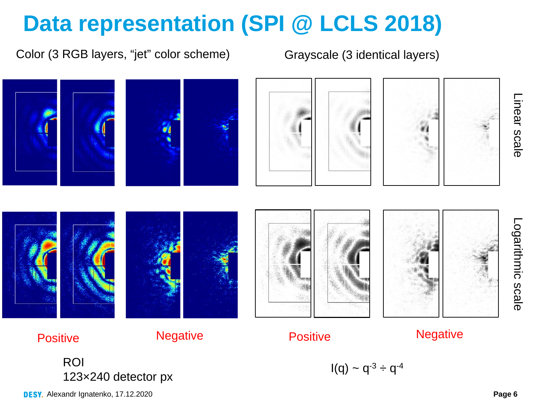# **Data representation (SPI @ LCLS 2018)**

Color (3 RGB layers, "jet" color scheme) Grayscale (3 identical layers)



ROI  $I(q) \sim q^{-3} \div q^{-4}$ 123×240 detector px

DESY. Alexandr Ignatenko, 17.12.2020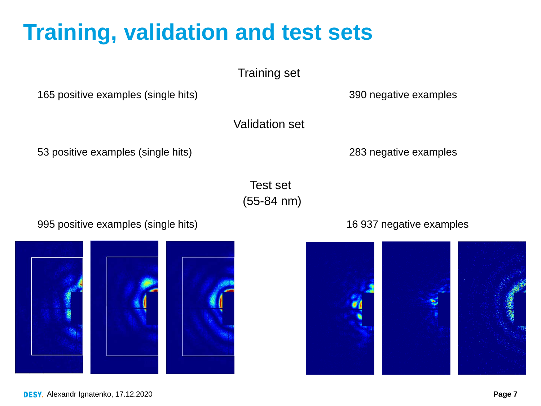## **Training, validation and test sets**

165 positive examples (single hits) 390 negative examples

Validation set

53 positive examples (single hits) 283 negative examples

Test set (55-84 nm)



#### 995 positive examples (single hits) 16 937 negative examples



DESY. Alexandr Ignatenko, 17.12.2020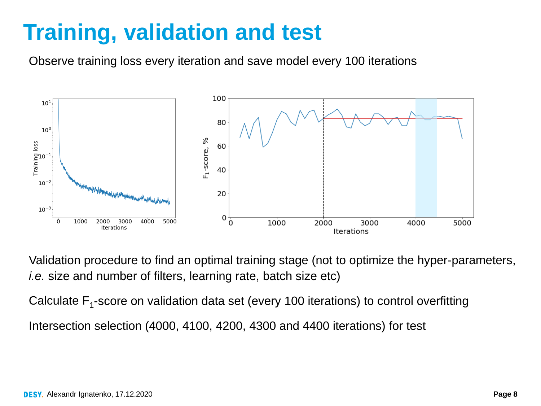#### **Training, validation and test**

Observe training loss every iteration and save model every 100 iterations



Validation procedure to find an optimal training stage (not to optimize the hyper-parameters, *i.e.* size and number of filters, learning rate, batch size etc)

Calculate  $F_1$ -score on validation data set (every 100 iterations) to control overfitting

Intersection selection (4000, 4100, 4200, 4300 and 4400 iterations) for test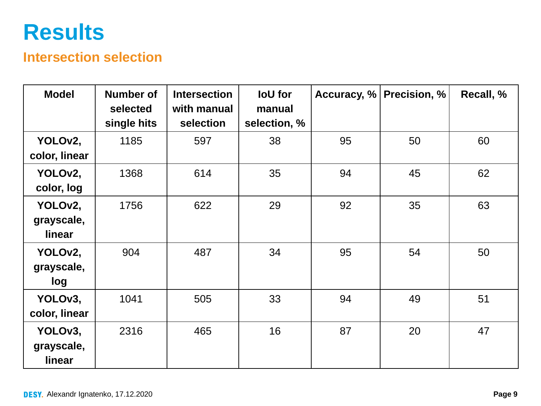#### **Results**

#### **Intersection selection**

| <b>Model</b>                       | <b>Number of</b><br>selected<br>single hits | <b>Intersection</b><br>with manual<br>selection | loU for<br>manual<br>selection, % | Accuracy, $%$ | Precision, % | Recall, % |
|------------------------------------|---------------------------------------------|-------------------------------------------------|-----------------------------------|---------------|--------------|-----------|
| YOLOv2,<br>color, linear           | 1185                                        | 597                                             | 38                                | 95            | 50           | 60        |
| YOLO <sub>v2</sub> ,<br>color, log | 1368                                        | 614                                             | 35                                | 94            | 45           | 62        |
| YOLOv2,<br>grayscale,<br>linear    | 1756                                        | 622                                             | 29                                | 92            | 35           | 63        |
| YOLOv2,<br>grayscale,<br>log       | 904                                         | 487                                             | 34                                | 95            | 54           | 50        |
| YOLOv3,<br>color, linear           | 1041                                        | 505                                             | 33                                | 94            | 49           | 51        |
| YOLOv3,<br>grayscale,<br>linear    | 2316                                        | 465                                             | 16                                | 87            | 20           | 47        |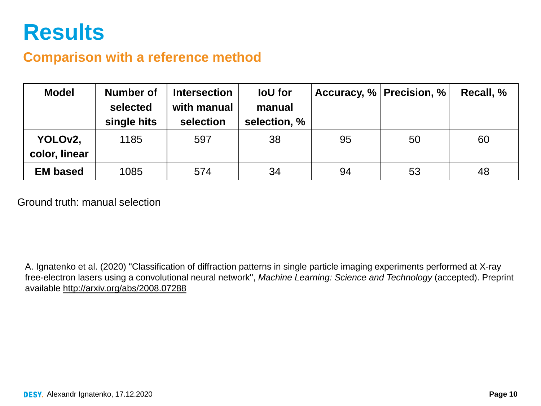#### **Results**

#### **Comparison with a reference method**

| <b>Model</b>    | <b>Number of</b><br>selected<br>single hits | <b>Intersection</b><br>with manual<br>selection | loU for<br>manual<br>selection, % |    | Accuracy, % Precision, % | Recall, % |
|-----------------|---------------------------------------------|-------------------------------------------------|-----------------------------------|----|--------------------------|-----------|
| YOLOv2,         | 1185                                        | 597                                             | 38                                | 95 | 50                       | 60        |
| color, linear   |                                             |                                                 |                                   |    |                          |           |
| <b>EM based</b> | 1085                                        | 574                                             | 34                                | 94 | 53                       | 48        |

Ground truth: manual selection

A. Ignatenko et al. (2020) ''Classification of diffraction patterns in single particle imaging experiments performed at X-ray free-electron lasers using a convolutional neural network'', *Machine Learning: Science and Technology* (accepted). Preprint available <http://arxiv.org/abs/2008.07288>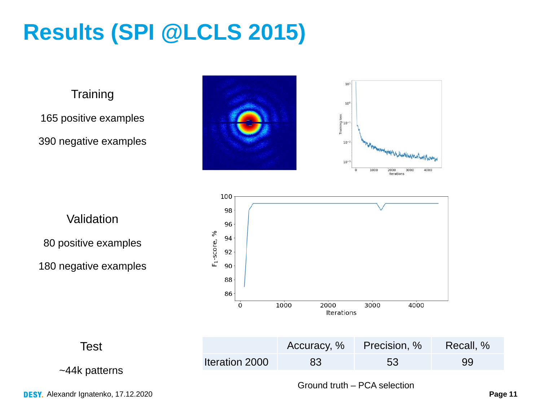# **Results (SPI @LCLS 2015)**

**Training** 

165 positive examples

390 negative examples









**Test** 

~44k patterns

Accuracy, % Precision, % Recall, % Iteration 2000 83 53 99

Ground truth – PCA selection

DESY. Alexandr Ignatenko, 17.12.2020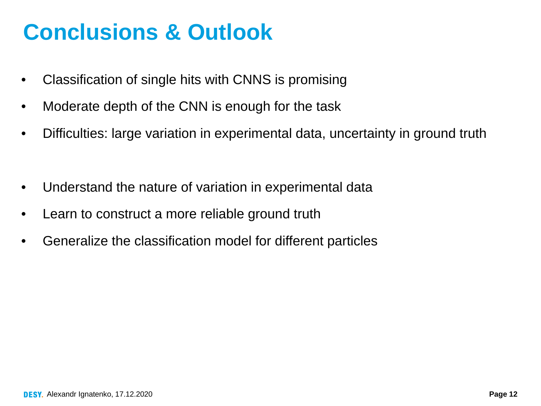#### **Conclusions & Outlook**

- Classification of single hits with CNNS is promising
- Moderate depth of the CNN is enough for the task
- Difficulties: large variation in experimental data, uncertainty in ground truth
- Understand the nature of variation in experimental data
- Learn to construct a more reliable ground truth
- Generalize the classification model for different particles